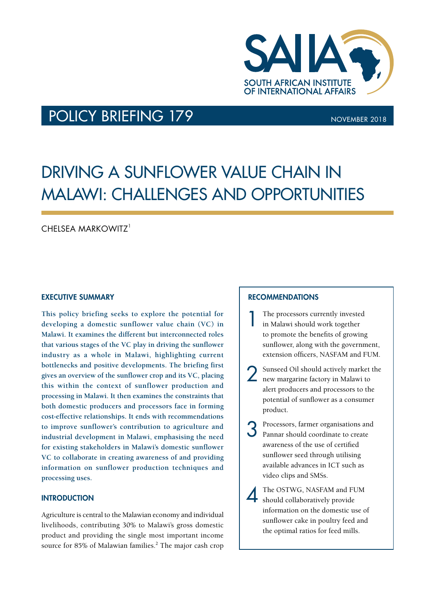

### POLICY BRIEFING 179 NOVEMBER 2018

## DRIVING A SUNFLOWER VALUE CHAIN IN MALAWI: CHALLENGES AND OPPORTUNITIES

#### CHELSEA MARKOWITZ<sup>1</sup>

#### EXECUTIVE SUMMARY

**This policy briefing seeks to explore the potential for developing a domestic sunflower value chain (VC) in Malawi. It examines the different but interconnected roles that various stages of the VC play in driving the sunflower industry as a whole in Malawi, highlighting current bottlenecks and positive developments. The briefing first gives an overview of the sunflower crop and its VC, placing this within the context of sunflower production and processing in Malawi. It then examines the constraints that both domestic producers and processors face in forming cost-effective relationships. It ends with recommendations to improve sunflower's contribution to agriculture and industrial development in Malawi, emphasising the need for existing stakeholders in Malawi's domestic sunflower VC to collaborate in creating awareness of and providing information on sunflower production techniques and processing uses.** 

#### **INTRODUCTION**

Agriculture is central to the Malawian economy and individual livelihoods, contributing 30% to Malawi's gross domestic product and providing the single most important income source for 85% of Malawian families.<sup>2</sup> The major cash crop

#### RECOMMENDATIONS

- 1 The processors currently invested in Malawi should work together to promote the benefits of growing sunflower, along with the government, extension officers, NASFAM and FUM.
- 2 Sunseed Oil should actively market the new margarine factory in Malawi to alert producers and processors to the potential of sunflower as a consumer product.
- 3 Processors, farmer organisations and Pannar should coordinate to create awareness of the use of certified sunflower seed through utilising available advances in ICT such as video clips and SMSs.
	- The OSTWG, NASFAM and FUM should collaboratively provide information on the domestic use of sunflower cake in poultry feed and the optimal ratios for feed mills.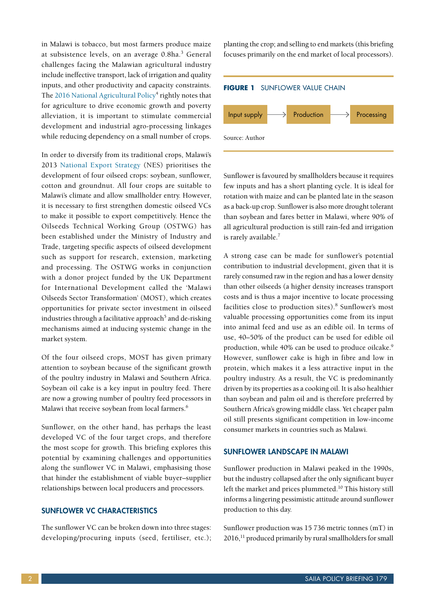in Malawi is tobacco, but most farmers produce maize at subsistence levels, on an average 0.8ha.<sup>3</sup> General challenges facing the Malawian agricultural industry include ineffective transport, lack of irrigation and quality inputs, and other productivity and capacity constraints. The [2016 National Agricultural Policy](https://reliefweb.int/sites/reliefweb.int/files/resources/NAP_Final_Signed.pdf)<sup>4</sup> rightly notes that for agriculture to drive economic growth and poverty alleviation, it is important to stimulate commercial development and industrial agro-processing linkages while reducing dependency on a small number of crops.

In order to diversify from its traditional crops, Malawi's 2013 [National Export Strategy](http://www.eisourcebook.org/cms/March_2013/Malawi%20National%20Export%20Strategy%20(NES)%20Main%20Volume.pdf) (NES) prioritises the development of four oilseed crops: soybean, sunflower, cotton and groundnut. All four crops are suitable to Malawi's climate and allow smallholder entry. However, it is necessary to first strengthen domestic oilseed VCs to make it possible to export competitively. Hence the Oilseeds Technical Working Group (OSTWG) has been established under the Ministry of Industry and Trade, targeting specific aspects of oilseed development such as support for research, extension, marketing and processing. The OSTWG works in conjunction with a donor project funded by the UK Department for International Development called the 'Malawi Oilseeds Sector Transformation' (MOST), which creates opportunities for private sector investment in oilseed industries through a facilitative approach<sup>5</sup> and de-risking mechanisms aimed at inducing systemic change in the market system.

Of the four oilseed crops, MOST has given primary attention to soybean because of the significant growth of the poultry industry in Malawi and Southern Africa. Soybean oil cake is a key input in poultry feed. There are now a growing number of poultry feed processors in Malawi that receive soybean from local farmers.<sup>6</sup>

Sunflower, on the other hand, has perhaps the least developed VC of the four target crops, and therefore the most scope for growth. This briefing explores this potential by examining challenges and opportunities along the sunflower VC in Malawi, emphasising those that hinder the establishment of viable buyer–supplier relationships between local producers and processors.

#### SUNFLOWER VC CHARACTERISTICS

The sunflower VC can be broken down into three stages: developing/procuring inputs (seed, fertiliser, etc.); planting the crop; and selling to end markets (this briefing focuses primarily on the end market of local processors).

# **FIGURE 1** SUNFLOWER VALUE CHAIN Source: Author  $\ket{\mathsf{input} \mathsf{supply}} \longrightarrow \text{Production} \longrightarrow \text{ Processing}$

Sunflower is favoured by smallholders because it requires few inputs and has a short planting cycle. It is ideal for rotation with maize and can be planted late in the season as a back-up crop. Sunflower is also more drought tolerant than soybean and fares better in Malawi, where 90% of all agricultural production is still rain-fed and irrigation is rarely available.<sup>7</sup>

A strong case can be made for sunflower's potential contribution to industrial development, given that it is rarely consumed raw in the region and has a lower density than other oilseeds (a higher density increases transport costs and is thus a major incentive to locate processing facilities close to production sites).<sup>8</sup> Sunflower's most valuable processing opportunities come from its input into animal feed and use as an edible oil. In terms of use, 40–50% of the product can be used for edible oil production, while 40% can be used to produce oilcake.<sup>9</sup> However, sunflower cake is high in fibre and low in protein, which makes it a less attractive input in the poultry industry. As a result, the VC is predominantly driven by its properties as a cooking oil. It is also healthier than soybean and palm oil and is therefore preferred by Southern Africa's growing middle class. Yet cheaper palm oil still presents significant competition in low-income consumer markets in countries such as Malawi.

#### SUNFLOWER LANDSCAPE IN MALAWI

Sunflower production in Malawi peaked in the 1990s, but the industry collapsed after the only significant buyer left the market and prices plummeted.<sup>10</sup> This history still informs a lingering pessimistic attitude around sunflower production to this day.

Sunflower production was 15 736 metric tonnes (mT) in 2016,<sup>11</sup> produced primarily by rural smallholders for small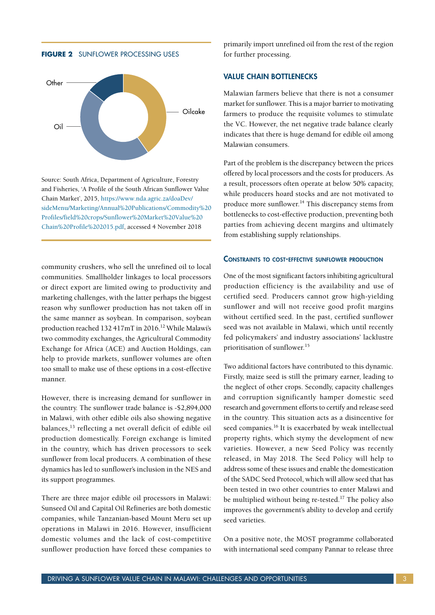**FIGURE 2** SUNFLOWER PROCESSING USES



Source: South Africa, Department of Agriculture, Forestry and Fisheries, 'A Profile of the South African Sunflower Value Chain Market', 2015, [https://www.nda.agric.za/doaDev/](https://www.nda.agric.za/doaDev/sideMenu/Marketing/Annual%20Publications/Commodity%20Profiles/field%20crops/Sunflower%20Market%20Value%20Chain%20Profile%202015.pdf) [sideMenu/Marketing/Annual%20Publications/Commodity%20](https://www.nda.agric.za/doaDev/sideMenu/Marketing/Annual%20Publications/Commodity%20Profiles/field%20crops/Sunflower%20Market%20Value%20Chain%20Profile%202015.pdf) [Profiles/field%20crops/Sunflower%20Market%20Value%20](https://www.nda.agric.za/doaDev/sideMenu/Marketing/Annual%20Publications/Commodity%20Profiles/field%20crops/Sunflower%20Market%20Value%20Chain%20Profile%202015.pdf) [Chain%20Profile%202015.pdf,](https://www.nda.agric.za/doaDev/sideMenu/Marketing/Annual%20Publications/Commodity%20Profiles/field%20crops/Sunflower%20Market%20Value%20Chain%20Profile%202015.pdf) accessed 4 November 2018

community crushers, who sell the unrefined oil to local communities. Smallholder linkages to local processors or direct export are limited owing to productivity and marketing challenges, with the latter perhaps the biggest reason why sunflower production has not taken off in the same manner as soybean. In comparison, soybean production reached 132 417mT in 2016.<sup>12</sup> While Malawi's two commodity exchanges, the Agricultural Commodity Exchange for Africa (ACE) and Auction Holdings, can help to provide markets, sunflower volumes are often too small to make use of these options in a cost-effective manner.

However, there is increasing demand for sunflower in the country. The sunflower trade balance is -\$2,894,000 in Malawi, with other edible oils also showing negative balances,13 reflecting a net overall deficit of edible oil production domestically. Foreign exchange is limited in the country, which has driven processors to seek sunflower from local producers. A combination of these dynamics has led to sunflower's inclusion in the NES and its support programmes.

There are three major edible oil processors in Malawi: Sunseed Oil and Capital Oil Refineries are both domestic companies, while Tanzanian-based Mount Meru set up operations in Malawi in 2016. However, insufficient domestic volumes and the lack of cost-competitive sunflower production have forced these companies to

primarily import unrefined oil from the rest of the region for further processing.

#### VALUE CHAIN BOTTLENECKS

Malawian farmers believe that there is not a consumer market for sunflower. This is a major barrier to motivating farmers to produce the requisite volumes to stimulate the VC. However, the net negative trade balance clearly indicates that there is huge demand for edible oil among Malawian consumers.

Part of the problem is the discrepancy between the prices offered by local processors and the costs for producers. As a result, processors often operate at below 50% capacity, while producers hoard stocks and are not motivated to produce more sunflower.<sup>14</sup> This discrepancy stems from bottlenecks to cost-effective production, preventing both parties from achieving decent margins and ultimately from establishing supply relationships.

#### Constraints to cost-effective sunflower production

One of the most significant factors inhibiting agricultural production efficiency is the availability and use of certified seed. Producers cannot grow high-yielding sunflower and will not receive good profit margins without certified seed. In the past, certified sunflower seed was not available in Malawi, which until recently fed policymakers' and industry associations' lacklustre prioritisation of sunflower.15

Two additional factors have contributed to this dynamic. Firstly, maize seed is still the primary earner, leading to the neglect of other crops. Secondly, capacity challenges and corruption significantly hamper domestic seed research and government efforts to certify and release seed in the country. This situation acts as a disincentive for seed companies.<sup>16</sup> It is exacerbated by weak intellectual property rights, which stymy the development of new varieties. However, a new Seed Policy was recently released, in May 2018. The Seed Policy will help to address some of these issues and enable the domestication of the SADC Seed Protocol, which will allow seed that has been tested in two other countries to enter Malawi and be multiplied without being re-tested.<sup>17</sup> The policy also improves the government's ability to develop and certify seed varieties.

On a positive note, the MOST programme collaborated with international seed company Pannar to release three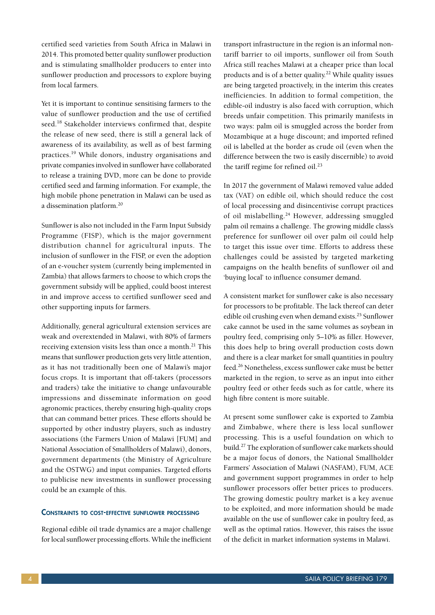certified seed varieties from South Africa in Malawi in 2014. This promoted better quality sunflower production and is stimulating smallholder producers to enter into sunflower production and processors to explore buying from local farmers.

Yet it is important to continue sensitising farmers to the value of sunflower production and the use of certified seed.<sup>18</sup> Stakeholder interviews confirmed that, despite the release of new seed, there is still a general lack of awareness of its availability, as well as of best farming practices.19 While donors, industry organisations and private companies involved in sunflower have collaborated to release a training DVD, more can be done to provide certified seed and farming information. For example, the high mobile phone penetration in Malawi can be used as a dissemination platform.20

Sunflower is also not included in the Farm Input Subsidy Programme (FISP), which is the major government distribution channel for agricultural inputs. The inclusion of sunflower in the FISP, or even the adoption of an e-voucher system (currently being implemented in Zambia) that allows farmers to choose to which crops the government subsidy will be applied, could boost interest in and improve access to certified sunflower seed and other supporting inputs for farmers.

Additionally, general agricultural extension services are weak and overextended in Malawi, with 80% of farmers receiving extension visits less than once a month.<sup>21</sup> This means that sunflower production gets very little attention, as it has not traditionally been one of Malawi's major focus crops. It is important that off-takers (processors and traders) take the initiative to change unfavourable impressions and disseminate information on good agronomic practices, thereby ensuring high-quality crops that can command better prices. These efforts should be supported by other industry players, such as industry associations (the Farmers Union of Malawi [FUM] and National Association of Smallholders of Malawi), donors, government departments (the Ministry of Agriculture and the OSTWG) and input companies. Targeted efforts to publicise new investments in sunflower processing could be an example of this.

#### Constraints to cost-effective sunflower processing

Regional edible oil trade dynamics are a major challenge for local sunflower processing efforts. While the inefficient

transport infrastructure in the region is an informal nontariff barrier to oil imports, sunflower oil from South Africa still reaches Malawi at a cheaper price than local products and is of a better quality.<sup>22</sup> While quality issues are being targeted proactively, in the interim this creates inefficiencies. In addition to formal competition, the edible-oil industry is also faced with corruption, which breeds unfair competition. This primarily manifests in two ways: palm oil is smuggled across the border from Mozambique at a huge discount; and imported refined oil is labelled at the border as crude oil (even when the difference between the two is easily discernible) to avoid the tariff regime for refined oil.<sup>23</sup>

In 2017 the government of Malawi removed value added tax (VAT) on edible oil, which should reduce the cost of local processing and disincentivise corrupt practices of oil mislabelling.<sup>24</sup> However, addressing smuggled palm oil remains a challenge. The growing middle class's preference for sunflower oil over palm oil could help to target this issue over time. Efforts to address these challenges could be assisted by targeted marketing campaigns on the health benefits of sunflower oil and 'buying local' to influence consumer demand.

A consistent market for sunflower cake is also necessary for processors to be profitable. The lack thereof can deter edible oil crushing even when demand exists.<sup>25</sup> Sunflower cake cannot be used in the same volumes as soybean in poultry feed, comprising only 5–10% as filler. However, this does help to bring overall production costs down and there is a clear market for small quantities in poultry feed.26 Nonetheless, excess sunflower cake must be better marketed in the region, to serve as an input into either poultry feed or other feeds such as for cattle, where its high fibre content is more suitable.

At present some sunflower cake is exported to Zambia and Zimbabwe, where there is less local sunflower processing. This is a useful foundation on which to build.27 The exploration of sunflower cake markets should be a major focus of donors, the National Smallholder Farmers' Association of Malawi (NASFAM), FUM, ACE and government support programmes in order to help sunflower processors offer better prices to producers. The growing domestic poultry market is a key avenue to be exploited, and more information should be made available on the use of sunflower cake in poultry feed, as well as the optimal ratios. However, this raises the issue of the deficit in market information systems in Malawi.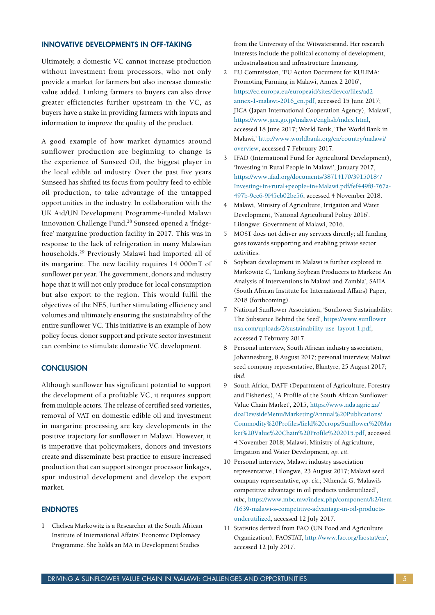#### INNOVATIVE DEVELOPMENTS IN OFF-TAKING

Ultimately, a domestic VC cannot increase production without investment from processors, who not only provide a market for farmers but also increase domestic value added. Linking farmers to buyers can also drive greater efficiencies further upstream in the VC, as buyers have a stake in providing farmers with inputs and information to improve the quality of the product.

A good example of how market dynamics around sunflower production are beginning to change is the experience of Sunseed Oil, the biggest player in the local edible oil industry. Over the past five years Sunseed has shifted its focus from poultry feed to edible oil production, to take advantage of the untapped opportunities in the industry. In collaboration with the UK Aid/UN Development Programme-funded Malawi Innovation Challenge Fund,<sup>28</sup> Sunseed opened a 'fridgefree' margarine production facility in 2017. This was in response to the lack of refrigeration in many Malawian households.29 Previously Malawi had imported all of its margarine. The new facility requires 14 000mT of sunflower per year. The government, donors and industry hope that it will not only produce for local consumption but also export to the region. This would fulfil the objectives of the NES, further stimulating efficiency and volumes and ultimately ensuring the sustainability of the entire sunflower VC. This initiative is an example of how policy focus, donor support and private sector investment can combine to stimulate domestic VC development.

#### **CONCLUSION**

Although sunflower has significant potential to support the development of a profitable VC, it requires support from multiple actors. The release of certified seed varieties, removal of VAT on domestic edible oil and investment in margarine processing are key developments in the positive trajectory for sunflower in Malawi. However, it is imperative that policymakers, donors and investors create and disseminate best practice to ensure increased production that can support stronger processor linkages, spur industrial development and develop the export market.

#### ENDNOTES

1 Chelsea Markowitz is a Researcher at the South African Institute of International Affairs' Economic Diplomacy Programme. She holds an MA in Development Studies

from the University of the Witwatersrand. Her research interests include the political economy of development, industrialisation and infrastructure financing.

- 2 EU Commission, 'EU Action Document for KULIMA: Promoting Farming in Malawi, Annex 2 2016', [https://ec.europa.eu/europeaid/sites/devco/files/ad2](https://ec.europa.eu/europeaid/sites/devco/files/ad2-annex-1-malawi-2016_en.pdf,) [annex-1-malawi-2016\\_en.pdf,](https://ec.europa.eu/europeaid/sites/devco/files/ad2-annex-1-malawi-2016_en.pdf,) accessed 15 June 2017; JICA (Japan International Cooperation Agency), 'Malawi', [https://www.jica.go.jp/malawi/english/index.html,](https://www.jica.go.jp/malawi/english/index.html) accessed 18 June 2017; World Bank, 'The World Bank in Malawi,' [http://www.worldbank.org/en/country/malawi/](http://www.worldbank.org/en/country/malawi/overview) [overview,](http://www.worldbank.org/en/country/malawi/overview) accessed 7 February 2017.
- 3 IFAD (International Fund for Agricultural Development), 'Investing in Rural People in Malawi', January 2017, [https://www.ifad.org/documents/38714170/39150184/](https://www.ifad.org/documents/38714170/39150184/Investing+in+rural+people+in+Malawi.pdf/fef449f8-767a-497b-9ce6-9f45eb02be56) [Investing+in+rural+people+in+Malawi.pdf/fef449f8-767a-](https://www.ifad.org/documents/38714170/39150184/Investing+in+rural+people+in+Malawi.pdf/fef449f8-767a-497b-9ce6-9f45eb02be56)[497b-9ce6-9f45eb02be56](https://www.ifad.org/documents/38714170/39150184/Investing+in+rural+people+in+Malawi.pdf/fef449f8-767a-497b-9ce6-9f45eb02be56), accessed 4 November 2018.
- 4 Malawi, Ministry of Agriculture, Irrigation and Water Development, 'National Agricultural Policy 2016'. Lilongwe: Government of Malawi, 2016.
- 5 MOST does not deliver any services directly; all funding goes towards supporting and enabling private sector activities.
- 6 Soybean development in Malawi is further explored in Markowitz C, 'Linking Soybean Producers to Markets: An Analysis of Interventions in Malawi and Zambia', SAIIA (South African Institute for International Affairs) Paper, 2018 (forthcoming).
- 7 National Sunflower Association, 'Sunflower Sustainability: The Substance Behind the Seed', [https://www.sunflower](https://www.sunflowernsa.com/uploads/2/sustainability-use_layout-1.pdf)  [nsa.com/uploads/2/sustainability-use\\_layout-1.pdf](https://www.sunflowernsa.com/uploads/2/sustainability-use_layout-1.pdf), accessed 7 February 2017.
- 8 Personal interview, South African industry association, Johannesburg, 8 August 2017; personal interview, Malawi seed company representative, Blantyre, 25 August 2017; *ibid*.
- 9 South Africa, DAFF (Department of Agriculture, Forestry and Fisheries), 'A Profile of the South African Sunflower Value Chain Market', 2015, [https://www.nda.agric.za/](https://www.nda.agric.za/doaDev/sideMenu/Marketing/Annual%20Publications/Commodity%20Profiles/field%20crops/Sunflower%20Market%20Value%20Chain%20Profile%202015.pdf) [doaDev/sideMenu/Marketing/Annual%20Publications/](https://www.nda.agric.za/doaDev/sideMenu/Marketing/Annual%20Publications/Commodity%20Profiles/field%20crops/Sunflower%20Market%20Value%20Chain%20Profile%202015.pdf) [Commodity%20Profiles/field%20crops/Sunflower%20Mar](https://www.nda.agric.za/doaDev/sideMenu/Marketing/Annual%20Publications/Commodity%20Profiles/field%20crops/Sunflower%20Market%20Value%20Chain%20Profile%202015.pdf)  [ket%20Value%20Chain%20Profile%202015.pdf,](https://www.nda.agric.za/doaDev/sideMenu/Marketing/Annual%20Publications/Commodity%20Profiles/field%20crops/Sunflower%20Market%20Value%20Chain%20Profile%202015.pdf) accessed 4 November 2018; Malawi, Ministry of Agriculture, Irrigation and Water Development, *op. cit*.
- 10 Personal interview, Malawi industry association representative, Lilongwe, 23 August 2017; Malawi seed company representative, *op. cit*.; Nthenda G, 'Malawi's competitive advantage in oil products underutilized', *mbc*, [https://www.mbc.mw/index.php/component/k2/item](https://www.mbc.mw/index.php/component/k2/item/1639-malawi-s-competitive-advantage-in-oil-products-underutilized)  [/1639-malawi-s-competitive-advantage-in-oil-products](https://www.mbc.mw/index.php/component/k2/item/1639-malawi-s-competitive-advantage-in-oil-products-underutilized)[underutilized,](https://www.mbc.mw/index.php/component/k2/item/1639-malawi-s-competitive-advantage-in-oil-products-underutilized) accessed 12 July 2017.
- 11 Statistics derived from FAO (UN Food and Agriculture Organization), FAOSTAT,<http://www.fao.org/faostat/en/>, accessed 12 July 2017.